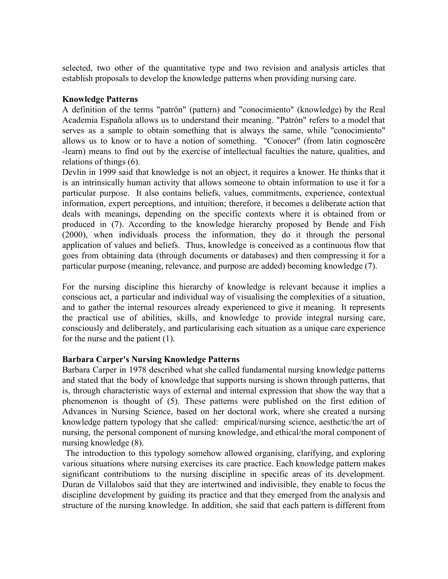selected, two other of the quantitative type and two revision and analysis articles that establish proposals to develop the knowledge patterns when providing nursing care.

#### **Knowledge Patterns**

A definition of the terms "patrón" (pattern) and "conocimiento" (knowledge) by the Real Academia Española allows us to understand their meaning. "Patrón" refers to a model that serves as a sample to obtain something that is always the same, while "conocimiento" allows us to know or to have a notion of something. "Conocer" (from latin cognoscĕre -learn) means to find out by the exercise of intellectual faculties the nature, qualities, and relations of things (6).

Devlin in 1999 said that knowledge is not an object, it requires a knower. He thinks that it is an intrinsically human activity that allows someone to obtain information to use it for a particular purpose. It also contains beliefs, values, commitments, experience, contextual information, expert perceptions, and intuition; therefore, it becomes a deliberate action that deals with meanings, depending on the specific contexts where it is obtained from or produced in (7). According to the knowledge hierarchy proposed by Bende and Fish (2000), when individuals process the information, they do it through the personal application of values and beliefs. Thus, knowledge is conceived as a continuous flow that goes from obtaining data (through documents or databases) and then compressing it for a particular purpose (meaning, relevance, and purpose are added) becoming knowledge (7).

For the nursing discipline this hierarchy of knowledge is relevant because it implies a conscious act, a particular and individual way of visualising the complexities of a situation, and to gather the internal resources already experienced to give it meaning. It represents the practical use of abilities, skills, and knowledge to provide integral nursing care, consciously and deliberately, and particularising each situation as a unique care experience for the nurse and the patient (1).

## **Barbara Carper's Nursing Knowledge Patterns**

Barbara Carper in 1978 described what she called fundamental nursing knowledge patterns and stated that the body of knowledge that supports nursing is shown through patterns, that is, through characteristic ways of external and internal expression that show the way that a phenomenon is thought of (5). These patterns were published on the first edition of Advances in Nursing Science, based on her doctoral work, where she created a nursing knowledge pattern typology that she called: empirical/nursing science, aesthetic/the art of nursing, the personal component of nursing knowledge, and ethical/the moral component of nursing knowledge (8).

 The introduction to this typology somehow allowed organising, clarifying, and exploring various situations where nursing exercises its care practice. Each knowledge pattern makes significant contributions to the nursing discipline in specific areas of its development. Duran de Villalobos said that they are intertwined and indivisible, they enable to focus the discipline development by guiding its practice and that they emerged from the analysis and structure of the nursing knowledge. In addition, she said that each pattern is different from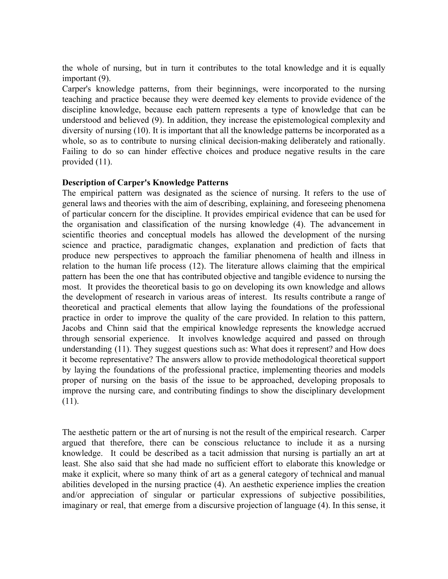the whole of nursing, but in turn it contributes to the total knowledge and it is equally important (9).

Carper's knowledge patterns, from their beginnings, were incorporated to the nursing teaching and practice because they were deemed key elements to provide evidence of the discipline knowledge, because each pattern represents a type of knowledge that can be understood and believed (9). In addition, they increase the epistemological complexity and diversity of nursing (10). It is important that all the knowledge patterns be incorporated as a whole, so as to contribute to nursing clinical decision-making deliberately and rationally. Failing to do so can hinder effective choices and produce negative results in the care provided (11).

## **Description of Carper's Knowledge Patterns**

The empirical pattern was designated as the science of nursing. It refers to the use of general laws and theories with the aim of describing, explaining, and foreseeing phenomena of particular concern for the discipline. It provides empirical evidence that can be used for the organisation and classification of the nursing knowledge (4). The advancement in scientific theories and conceptual models has allowed the development of the nursing science and practice, paradigmatic changes, explanation and prediction of facts that produce new perspectives to approach the familiar phenomena of health and illness in relation to the human life process (12). The literature allows claiming that the empirical pattern has been the one that has contributed objective and tangible evidence to nursing the most. It provides the theoretical basis to go on developing its own knowledge and allows the development of research in various areas of interest. Its results contribute a range of theoretical and practical elements that allow laying the foundations of the professional practice in order to improve the quality of the care provided. In relation to this pattern, Jacobs and Chinn said that the empirical knowledge represents the knowledge accrued through sensorial experience. It involves knowledge acquired and passed on through understanding (11). They suggest questions such as: What does it represent? and How does it become representative? The answers allow to provide methodological theoretical support by laying the foundations of the professional practice, implementing theories and models proper of nursing on the basis of the issue to be approached, developing proposals to improve the nursing care, and contributing findings to show the disciplinary development (11). CARPER KNOWLEDGE CARTERION CONTEND AND CHECAR CONTEND IMPORTING.<br>
The whole of nursing but in turn it cuttinuous to the total knowledge and it is equally<br>
important (9),<br>
Carper's Frondotige patterns, from their heginning

The aesthetic pattern or the art of nursing is not the result of the empirical research. Carper argued that therefore, there can be conscious reluctance to include it as a nursing knowledge. It could be described as a tacit admission that nursing is partially an art at least. She also said that she had made no sufficient effort to elaborate this knowledge or make it explicit, where so many think of art as a general category of technical and manual abilities developed in the nursing practice (4). An aesthetic experience implies the creation and/or appreciation of singular or particular expressions of subjective possibilities, imaginary or real, that emerge from a discursive projection of language (4). In this sense, it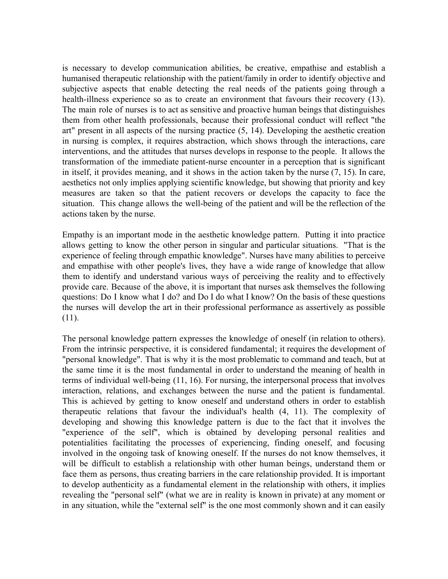is necessary to develop communication abilities, be creative, empathise and establish a humanised therapeutic relationship with the patient/family in order to identify objective and subjective aspects that enable detecting the real needs of the patients going through a health-illness experience so as to create an environment that favours their recovery (13). The main role of nurses is to act as sensitive and proactive human beings that distinguishes them from other health professionals, because their professional conduct will reflect "the art" present in all aspects of the nursing practice (5, 14). Developing the aesthetic creation in nursing is complex, it requires abstraction, which shows through the interactions, care interventions, and the attitudes that nurses develops in response to the people. It allows the transformation of the immediate patient-nurse encounter in a perception that is significant in itself, it provides meaning, and it shows in the action taken by the nurse (7, 15). In care, aesthetics not only implies applying scientific knowledge, but showing that priority and key measures are taken so that the patient recovers or develops the capacity to face the situation. This change allows the well-being of the patient and will be the reflection of the actions taken by the nurse.

Empathy is an important mode in the aesthetic knowledge pattern. Putting it into practice allows getting to know the other person in singular and particular situations. "That is the experience of feeling through empathic knowledge". Nurses have many abilities to perceive and empathise with other people's lives, they have a wide range of knowledge that allow them to identify and understand various ways of perceiving the reality and to effectively provide care. Because of the above, it is important that nurses ask themselves the following questions: Do I know what I do? and Do I do what I know? On the basis of these questions the nurses will develop the art in their professional performance as assertively as possible (11).

The personal knowledge pattern expresses the knowledge of oneself (in relation to others). From the intrinsic perspective, it is considered fundamental; it requires the development of "personal knowledge". That is why it is the most problematic to command and teach, but at the same time it is the most fundamental in order to understand the meaning of health in terms of individual well-being (11, 16). For nursing, the interpersonal process that involves interaction, relations, and exchanges between the nurse and the patient is fundamental. This is achieved by getting to know oneself and understand others in order to establish therapeutic relations that favour the individual's health (4, 11). The complexity of developing and showing this knowledge pattern is due to the fact that it involves the "experience of the self", which is obtained by developing personal realities and potentialities facilitating the processes of experiencing, finding oneself, and focusing involved in the ongoing task of knowing oneself. If the nurses do not know themselves, it will be difficult to establish a relationship with other human beings, understand them or face them as persons, thus creating barriers in the care relationship provided. It is important to develop authenticity as a fundamental element in the relationship with others, it implies revealing the "personal self" (what we are in reality is known in private) at any moment or in any situation, while the "external self" is the one most commonly shown and it can easily CARPER KNOWLEDGE PATTERNS AND CONTEGES AND CONTEGES DONE IN SURFACE AND MONETATION IN A humanizad therapeutic relationship with the pattern limit of the particles and solicity and and<br>highlestow appears that candot describ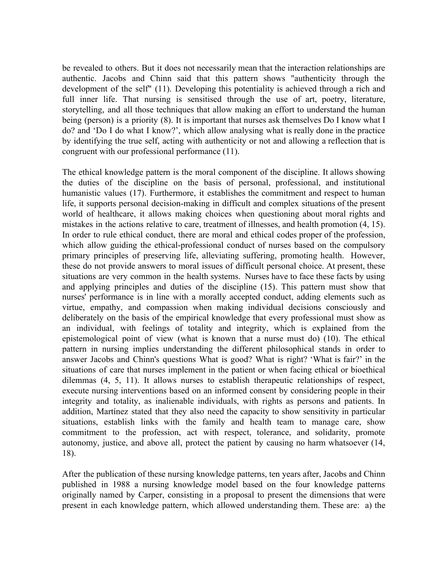be revealed to others. But it does not necessarily mean that the interaction relationships are authentic. Jacobs and Chinn said that this pattern shows "authenticity through the development of the self" (11). Developing this potentiality is achieved through a rich and full inner life. That nursing is sensitised through the use of art, poetry, literature, storytelling, and all those techniques that allow making an effort to understand the human being (person) is a priority (8). It is important that nurses ask themselves Do I know what I do? and 'Do I do what I know?', which allow analysing what is really done in the practice by identifying the true self, acting with authenticity or not and allowing a reflection that is congruent with our professional performance (11).

The ethical knowledge pattern is the moral component of the discipline. It allows showing the duties of the discipline on the basis of personal, professional, and institutional humanistic values (17). Furthermore, it establishes the commitment and respect to human life, it supports personal decision-making in difficult and complex situations of the present world of healthcare, it allows making choices when questioning about moral rights and mistakes in the actions relative to care, treatment of illnesses, and health promotion (4, 15). In order to rule ethical conduct, there are moral and ethical codes proper of the profession, which allow guiding the ethical-professional conduct of nurses based on the compulsory primary principles of preserving life, alleviating suffering, promoting health. However, these do not provide answers to moral issues of difficult personal choice. At present, these situations are very common in the health systems. Nurses have to face these facts by using and applying principles and duties of the discipline (15). This pattern must show that nurses' performance is in line with a morally accepted conduct, adding elements such as virtue, empathy, and compassion when making individual decisions consciously and deliberately on the basis of the empirical knowledge that every professional must show as an individual, with feelings of totality and integrity, which is explained from the epistemological point of view (what is known that a nurse must do) (10). The ethical pattern in nursing implies understanding the different philosophical stands in order to answer Jacobs and Chinn's questions What is good? What is right? 'What is fair?' in the situations of care that nurses implement in the patient or when facing ethical or bioethical dilemmas (4, 5, 11). It allows nurses to establish therapeutic relationships of respect, execute nursing interventions based on an informed consent by considering people in their integrity and totality, as inalienable individuals, with rights as persons and patients. In addition, Martínez stated that they also need the capacity to show sensitivity in particular situations, establish links with the family and health team to manage care, show commitment to the profession, act with respect, tolerance, and solidarity, promote autonomy, justice, and above all, protect the patient by causing no harm whatsoever (14, 18). CARPER KNOWLEDGE PATTERNS AND CHRESSION IN NEW REVIEW SIGNAL and CARE and CARE and CARE and CARE and channel and that this pattern shows "authenticty strongly the developed particle of the gelf (11). Developed bis possess

After the publication of these nursing knowledge patterns, ten years after, Jacobs and Chinn published in 1988 a nursing knowledge model based on the four knowledge patterns originally named by Carper, consisting in a proposal to present the dimensions that were present in each knowledge pattern, which allowed understanding them. These are: a) the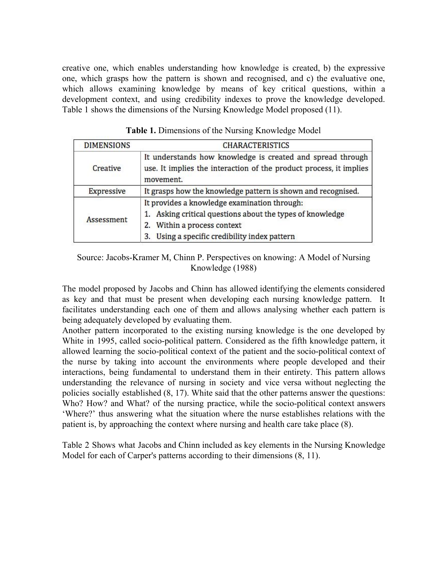creative one, which enables understanding how knowledge is created, b) the expressive one, which grasps how the pattern is shown and recognised, and c) the evaluative one, which allows examining knowledge by means of key critical questions, within a development context, and using credibility indexes to prove the knowledge developed. Table 1 shows the dimensions of the Nursing Knowledge Model proposed (11).

| <b>DIMENSIONS</b> | <b>CHARACTERISTICS</b>                                                                                                                        |  |  |  |
|-------------------|-----------------------------------------------------------------------------------------------------------------------------------------------|--|--|--|
| Creative          | It understands how knowledge is created and spread through<br>use. It implies the interaction of the product process, it implies<br>movement. |  |  |  |
| Expressive        | It grasps how the knowledge pattern is shown and recognised.                                                                                  |  |  |  |
|                   | It provides a knowledge examination through:                                                                                                  |  |  |  |
| Assessment        | Asking critical questions about the types of knowledge                                                                                        |  |  |  |
|                   | 2. Within a process context                                                                                                                   |  |  |  |
|                   | Using a specific credibility index pattern<br>3.                                                                                              |  |  |  |

| Table 1. Dimensions of the Nursing Knowledge Model |
|----------------------------------------------------|
|----------------------------------------------------|

## Source: Jacobs-Kramer M, Chinn P. Perspectives on knowing: A Model of Nursing Knowledge (1988)

The model proposed by Jacobs and Chinn has allowed identifying the elements considered as key and that must be present when developing each nursing knowledge pattern. It facilitates understanding each one of them and allows analysing whether each pattern is being adequately developed by evaluating them.

Another pattern incorporated to the existing nursing knowledge is the one developed by White in 1995, called socio-political pattern. Considered as the fifth knowledge pattern, it allowed learning the socio-political context of the patient and the socio-political context of the nurse by taking into account the environments where people developed and their interactions, being fundamental to understand them in their entirety. This pattern allows understanding the relevance of nursing in society and vice versa without neglecting the policies socially established (8, 17). White said that the other patterns answer the questions: Who? How? and What? of the nursing practice, while the socio-political context answers 'Where?' thus answering what the situation where the nurse establishes relations with the patient is, by approaching the context where nursing and health care take place (8). CARPER KNOWLEDGE PATTERNS AND EXPRESSION IN NURSING CARE: REVIEW STUDY 80 Enfermería: Cuidados Humanizados, Vol. 7, nº 1 - Junio 2018 - ISSN: 1688-8375 ISSN en línea: 2393-6606

Table 2 Shows what Jacobs and Chinn included as key elements in the Nursing Knowledge Model for each of Carper's patterns according to their dimensions (8, 11).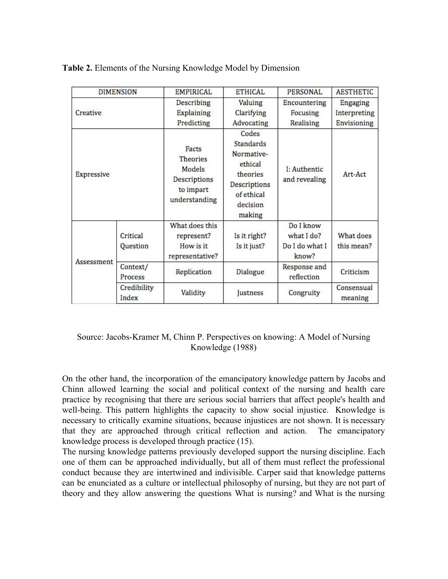|                        | <b>DIMENSION</b>     | <b>EMPIRICAL</b>                                                                                                                                                                                                                                                                                                                                                                                                                                                                                                                                                                                                                                                                                                                    | <b>ETHICAL</b>                                                                                                                                            | <b>PERSONAL</b>                                                                          | <b>AESTHETIC</b>                                   |
|------------------------|----------------------|-------------------------------------------------------------------------------------------------------------------------------------------------------------------------------------------------------------------------------------------------------------------------------------------------------------------------------------------------------------------------------------------------------------------------------------------------------------------------------------------------------------------------------------------------------------------------------------------------------------------------------------------------------------------------------------------------------------------------------------|-----------------------------------------------------------------------------------------------------------------------------------------------------------|------------------------------------------------------------------------------------------|----------------------------------------------------|
| Creative<br>Expressive |                      | <b>Describing</b><br><b>Explaining</b><br>Predicting                                                                                                                                                                                                                                                                                                                                                                                                                                                                                                                                                                                                                                                                                | Valuing<br>Clarifying<br>Advocating<br>Codes<br><b>Standards</b><br>Normative-<br>ethical<br>theories<br>Descriptions<br>of ethical<br>decision<br>making | Encountering<br>Focusing<br>Realising<br>I: Authentic<br>and revealing                   | Engaging<br>Interpreting<br>Envisioning<br>Art-Act |
|                        |                      | Facts<br><b>Theories</b><br>Models<br>Descriptions<br>to impart<br>understanding                                                                                                                                                                                                                                                                                                                                                                                                                                                                                                                                                                                                                                                    |                                                                                                                                                           |                                                                                          |                                                    |
| Assessment             | Critical<br>Question | What does this<br>represent?<br>How is it<br>representative?                                                                                                                                                                                                                                                                                                                                                                                                                                                                                                                                                                                                                                                                        | Is it right?<br>Is it just?                                                                                                                               | Do I know<br>what I do?<br>Do I do what I<br>know?                                       | What does<br>this mean?                            |
|                        | Context/<br>Process  | Replication                                                                                                                                                                                                                                                                                                                                                                                                                                                                                                                                                                                                                                                                                                                         | Dialogue                                                                                                                                                  | Response and<br>reflection                                                               | Criticism                                          |
|                        | Credibility<br>Index | Validity                                                                                                                                                                                                                                                                                                                                                                                                                                                                                                                                                                                                                                                                                                                            | Justness                                                                                                                                                  | Congruity                                                                                | Consensual<br>meaning                              |
|                        |                      | Source: Jacobs-Kramer M, Chinn P. Perspectives on knowing: A Model of Nursing<br>Knowledge (1988)<br>On the other hand, the incorporation of the emancipatory knowledge pattern by Jacobs and<br>Chinn allowed learning the social and political context of the nursing and health care<br>practice by recognising that there are serious social barriers that affect people's health and<br>well-being. This pattern highlights the capacity to show social injustice. Knowledge is<br>necessary to critically examine situations, because injustices are not shown. It is necessary<br>that they are approached through critical reflection and action. The emancipatory<br>knowledge process is developed through practice (15). |                                                                                                                                                           | The nursing knowledge patterns previously developed support the nursing discipline. Each |                                                    |

# Source: Jacobs-Kramer M, Chinn P. Perspectives on knowing: A Model of Nursing Knowledge (1988)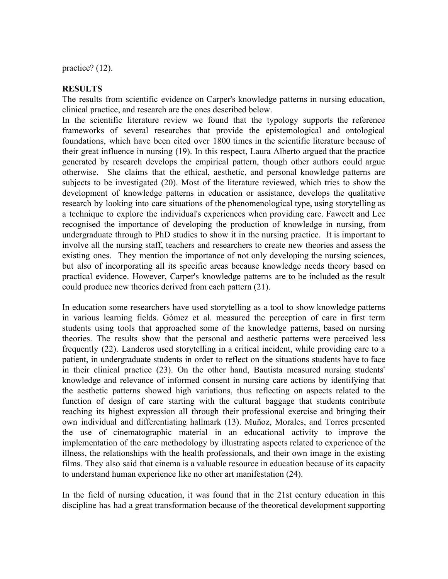practice? (12).

## **RESULTS**

The results from scientific evidence on Carper's knowledge patterns in nursing education, clinical practice, and research are the ones described below.

In the scientific literature review we found that the typology supports the reference frameworks of several researches that provide the epistemological and ontological foundations, which have been cited over 1800 times in the scientific literature because of their great influence in nursing (19). In this respect, Laura Alberto argued that the practice generated by research develops the empirical pattern, though other authors could argue otherwise. She claims that the ethical, aesthetic, and personal knowledge patterns are subjects to be investigated (20). Most of the literature reviewed, which tries to show the development of knowledge patterns in education or assistance, develops the qualitative research by looking into care situations of the phenomenological type, using storytelling as a technique to explore the individual's experiences when providing care. Fawcett and Lee recognised the importance of developing the production of knowledge in nursing, from undergraduate through to PhD studies to show it in the nursing practice. It is important to involve all the nursing staff, teachers and researchers to create new theories and assess the existing ones. They mention the importance of not only developing the nursing sciences, but also of incorporating all its specific areas because knowledge needs theory based on practical evidence. However, Carper's knowledge patterns are to be included as the result could produce new theories derived from each pattern (21). CARPER KNOWLEDGE PATTERNS AND CHRESSION IN NURSING CARE: REVIEW THE RESULTEST THE REVIEW IN THE CARE IN THE CARE IN THE CARE IN THE CARE IN THE CARE IN THE CARE IN THE CARE IN THE CARE IN THE CARE IN THE CARE IN THE CARE

In education some researchers have used storytelling as a tool to show knowledge patterns in various learning fields. Gómez et al. measured the perception of care in first term students using tools that approached some of the knowledge patterns, based on nursing theories. The results show that the personal and aesthetic patterns were perceived less frequently (22). Landeros used storytelling in a critical incident, while providing care to a patient, in undergraduate students in order to reflect on the situations students have to face in their clinical practice (23). On the other hand, Bautista measured nursing students' knowledge and relevance of informed consent in nursing care actions by identifying that the aesthetic patterns showed high variations, thus reflecting on aspects related to the function of design of care starting with the cultural baggage that students contribute reaching its highest expression all through their professional exercise and bringing their own individual and differentiating hallmark (13). Muñoz, Morales, and Torres presented the use of cinematographic material in an educational activity to improve the implementation of the care methodology by illustrating aspects related to experience of the illness, the relationships with the health professionals, and their own image in the existing films. They also said that cinema is a valuable resource in education because of its capacity to understand human experience like no other art manifestation (24).

In the field of nursing education, it was found that in the 21st century education in this discipline has had a great transformation because of the theoretical development supporting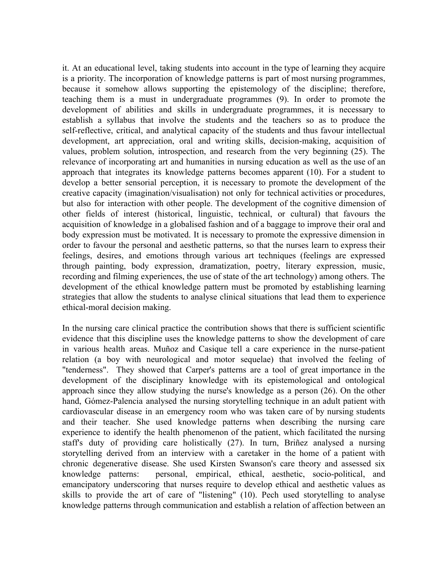it. At an educational level, taking students into account in the type of learning they acquire is a priority. The incorporation of knowledge patterns is part of most nursing programmes, because it somehow allows supporting the epistemology of the discipline; therefore, teaching them is a must in undergraduate programmes (9). In order to promote the development of abilities and skills in undergraduate programmes, it is necessary to establish a syllabus that involve the students and the teachers so as to produce the self-reflective, critical, and analytical capacity of the students and thus favour intellectual development, art appreciation, oral and writing skills, decision-making, acquisition of values, problem solution, introspection, and research from the very beginning (25). The relevance of incorporating art and humanities in nursing education as well as the use of an approach that integrates its knowledge patterns becomes apparent (10). For a student to develop a better sensorial perception, it is necessary to promote the development of the creative capacity (imagination/visualisation) not only for technical activities or procedures, but also for interaction with other people. The development of the cognitive dimension of other fields of interest (historical, linguistic, technical, or cultural) that favours the acquisition of knowledge in a globalised fashion and of a baggage to improve their oral and body expression must be motivated. It is necessary to promote the expressive dimension in order to favour the personal and aesthetic patterns, so that the nurses learn to express their feelings, desires, and emotions through various art techniques (feelings are expressed through painting, body expression, dramatization, poetry, literary expression, music, recording and filming experiences, the use of state of the art technology) among others. The development of the ethical knowledge pattern must be promoted by establishing learning strategies that allow the students to analyse clinical situations that lead them to experience ethical-moral decision making. CARPER KNOWLEDGE PATTERNS AND CHROSSON INVESTING CARE REVIEW 318<br>
is a promity. The mecomentation of havoidegle patterns is part of most internal geographics<br>
is a promity. The mecomentation of havoidegle patterns is part

In the nursing care clinical practice the contribution shows that there is sufficient scientific evidence that this discipline uses the knowledge patterns to show the development of care in various health areas. Muñoz and Casique tell a care experience in the nurse-patient relation (a boy with neurological and motor sequelae) that involved the feeling of "tenderness". They showed that Carper's patterns are a tool of great importance in the development of the disciplinary knowledge with its epistemological and ontological approach since they allow studying the nurse's knowledge as a person (26). On the other hand, Gómez-Palencia analysed the nursing storytelling technique in an adult patient with cardiovascular disease in an emergency room who was taken care of by nursing students and their teacher. She used knowledge patterns when describing the nursing care experience to identify the health phenomenon of the patient, which facilitated the nursing staff's duty of providing care holistically (27). In turn, Briñez analysed a nursing storytelling derived from an interview with a caretaker in the home of a patient with chronic degenerative disease. She used Kirsten Swanson's care theory and assessed six knowledge patterns: personal, empirical, ethical, aesthetic, socio-political, and emancipatory underscoring that nurses require to develop ethical and aesthetic values as skills to provide the art of care of "listening" (10). Pech used storytelling to analyse knowledge patterns through communication and establish a relation of affection between an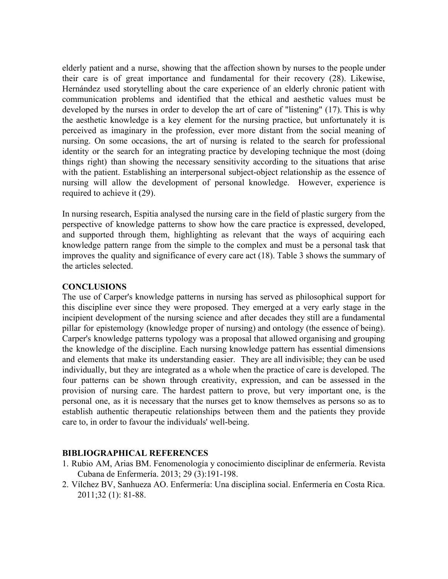elderly patient and a nurse, showing that the affection shown by nurses to the people under their care is of great importance and fundamental for their recovery (28). Likewise, Hernández used storytelling about the care experience of an elderly chronic patient with communication problems and identified that the ethical and aesthetic values must be developed by the nurses in order to develop the art of care of "listening" (17). This is why the aesthetic knowledge is a key element for the nursing practice, but unfortunately it is perceived as imaginary in the profession, ever more distant from the social meaning of nursing. On some occasions, the art of nursing is related to the search for professional identity or the search for an integrating practice by developing technique the most (doing things right) than showing the necessary sensitivity according to the situations that arise with the patient. Establishing an interpersonal subject-object relationship as the essence of nursing will allow the development of personal knowledge. However, experience is required to achieve it (29).

In nursing research, Espitia analysed the nursing care in the field of plastic surgery from the perspective of knowledge patterns to show how the care practice is expressed, developed, and supported through them, highlighting as relevant that the ways of acquiring each knowledge pattern range from the simple to the complex and must be a personal task that improves the quality and significance of every care act (18). Table 3 shows the summary of the articles selected.

## **CONCLUSIONS**

The use of Carper's knowledge patterns in nursing has served as philosophical support for this discipline ever since they were proposed. They emerged at a very early stage in the incipient development of the nursing science and after decades they still are a fundamental pillar for epistemology (knowledge proper of nursing) and ontology (the essence of being). Carper's knowledge patterns typology was a proposal that allowed organising and grouping the knowledge of the discipline. Each nursing knowledge pattern has essential dimensions and elements that make its understanding easier. They are all indivisible; they can be used individually, but they are integrated as a whole when the practice of care is developed. The four patterns can be shown through creativity, expression, and can be assessed in the provision of nursing care. The hardest pattern to prove, but very important one, is the personal one, as it is necessary that the nurses get to know themselves as persons so as to establish authentic therapeutic relationships between them and the patients they provide care to, in order to favour the individuals' well-being. CARPER KNOWLEDGE PATTERNS AND CPRESSION IN NEW ROWER CARE:<br>
relative rate is of great importance and findimental for their recovery (28). Likewise, Hermindot used anyielly about the care ceremonic and information problems

## **BIBLIOGRAPHICAL REFERENCES**

- 1. Rubio AM, Arias BM. Fenomenología y conocimiento disciplinar de enfermería. Revista Cubana de Enfermería. 2013; 29 (3):191-198.
- 2. Vílchez BV, Sanhueza AO. Enfermería: Una disciplina social. Enfermería en Costa Rica. 2011;32 (1): 81-88.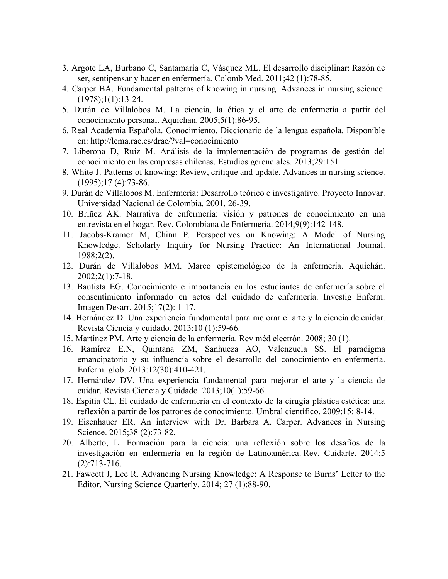- 3. Argote LA, Burbano C, Santamaría C, Vásquez ML. El desarrollo disciplinar: Razón de ser, sentipensar y hacer en enfermería. Colomb Med. 2011;42 (1):78-85.
- 4. Carper BA. Fundamental patterns of knowing in nursing. Advances in nursing science.  $(1978);1(1):13-24.$
- 5. Durán de Villalobos M. La ciencia, la ética y el arte de enfermería a partir del conocimiento personal. Aquichan. 2005;5(1):86-95.
- 6. Real Academia Española. Conocimiento. Diccionario de la lengua española. Disponible en: http://lema.rae.es/drae/?val=conocimiento
- 7. Liberona D, Ruiz M. Análisis de la implementación de programas de gestión del conocimiento en las empresas chilenas. Estudios gerenciales. 2013;29:151
- 8. White J. Patterns of knowing: Review, critique and update. Advances in nursing science. (1995);17 (4):73-86.
- 9. Durán de Villalobos M. Enfermería: Desarrollo teórico e investigativo. Proyecto Innovar. Universidad Nacional de Colombia. 2001. 26-39.
- 10. Briñez AK. Narrativa de enfermería: visión y patrones de conocimiento en una entrevista en el hogar. Rev. Colombiana de Enfermería. 2014;9(9):142-148.
- 11. Jacobs-Kramer M, Chinn P. Perspectives on Knowing: A Model of Nursing Knowledge. Scholarly Inquiry for Nursing Practice: An International Journal. 1988;2(2).
- 12. Durán de Villalobos MM. Marco epistemológico de la enfermería. Aquichán. 2002;2(1):7-18.
- 13. Bautista EG. Conocimiento e importancia en los estudiantes de enfermería sobre el consentimiento informado en actos del cuidado de enfermería. Investig Enferm. Imagen Desarr. 2015;17(2): 1-17.
- 14. Hernández D. Una experiencia fundamental para mejorar el arte y la ciencia de cuidar. Revista Ciencia y cuidado. 2013;10 (1):59-66.
- 15. Martínez PM. Arte y ciencia de la enfermería. Rev méd electrón. 2008; 30 (1).
- 16. Ramírez E.N, Quintana ZM, Sanhueza AO, Valenzuela SS. El paradigma emancipatorio y su influencia sobre el desarrollo del conocimiento en enfermería. Enferm. glob. 2013:12(30):410-421.
- 17. Hernández DV. Una experiencia fundamental para mejorar el arte y la ciencia de cuidar. Revista Ciencia y Cuidado. 2013;10(1):59-66.
- 18. Espitia CL. El cuidado de enfermería en el contexto de la cirugía plástica estética: una reflexión a partir de los patrones de conocimiento. Umbral científico. 2009;15: 8-14.
- 19. Eisenhauer ER. An interview with Dr. Barbara A. Carper. Advances in Nursing Science. 2015;38 (2):73-82.
- 20. Alberto, L. Formación para la ciencia: una reflexión sobre los desafíos de la investigación en enfermería en la región de Latinoamérica. Rev. Cuidarte. 2014;5 (2):713-716. CARPER KNOWLEDGE PATTERNS AND EXPRESSION IN NURSING CARE: REVIEW STUDY 85 Enfermería: Cuidados Humanizados, Vol. 7, nº 1 - Junio 2018 - ISSN: 1688-8375 ISSN en línea: 2393-6606
	- 21. Fawcett J, Lee R. Advancing Nursing Knowledge: A Response to Burns' Letter to the Editor. Nursing Science Quarterly. 2014; 27 (1):88-90.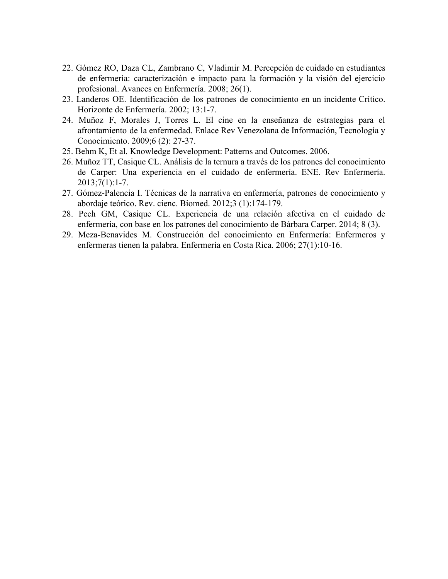- 22. Gómez RO, Daza CL, Zambrano C, Vladimir M. Percepción de cuidado en estudiantes de enfermería: caracterización e impacto para la formación y la visión del ejercicio profesional. Avances en Enfermería. 2008; 26(1).
- 23. Landeros OE. Identificación de los patrones de conocimiento en un incidente Crítico. Horizonte de Enfermería. 2002; 13:1-7.
- 24. Muñoz F, Morales J, Torres L. El cine en la enseñanza de estrategias para el afrontamiento de la enfermedad. Enlace Rev Venezolana de Información, Tecnología y Conocimiento. 2009;6 (2): 27-37. CARPER KNOWLEDGE PATTERNS AND CONTENSION IN ARRESTS ON EXPRESSION IN A CONTENT AND A CONTENTENT AND A CONTENTENT AND A CONTENTENT AND CONTENTENT AND CONTENTENT AND CONTENTENT AND CONTENTENT AND CONTENTENT AND CONTENTENT A
	- 25. Behm K, Et al. Knowledge Development: Patterns and Outcomes. 2006.
	- 26. Muñoz TT, Casique CL. Análisis de la ternura a través de los patrones del conocimiento de Carper: Una experiencia en el cuidado de enfermería. ENE. Rev Enfermería.  $2013;7(1):1-7.$
	- 27. Gómez-Palencia I. Técnicas de la narrativa en enfermería, patrones de conocimiento y abordaje teórico. Rev. cienc. Biomed. 2012;3 (1):174-179.
	- 28. Pech GM, Casique CL. Experiencia de una relación afectiva en el cuidado de enfermería, con base en los patrones del conocimiento de Bárbara Carper. 2014; 8 (3).
	- 29. Meza-Benavides M. Construcción del conocimiento en Enfermería: Enfermeros y enfermeras tienen la palabra. Enfermería en Costa Rica. 2006; 27(1):10-16.